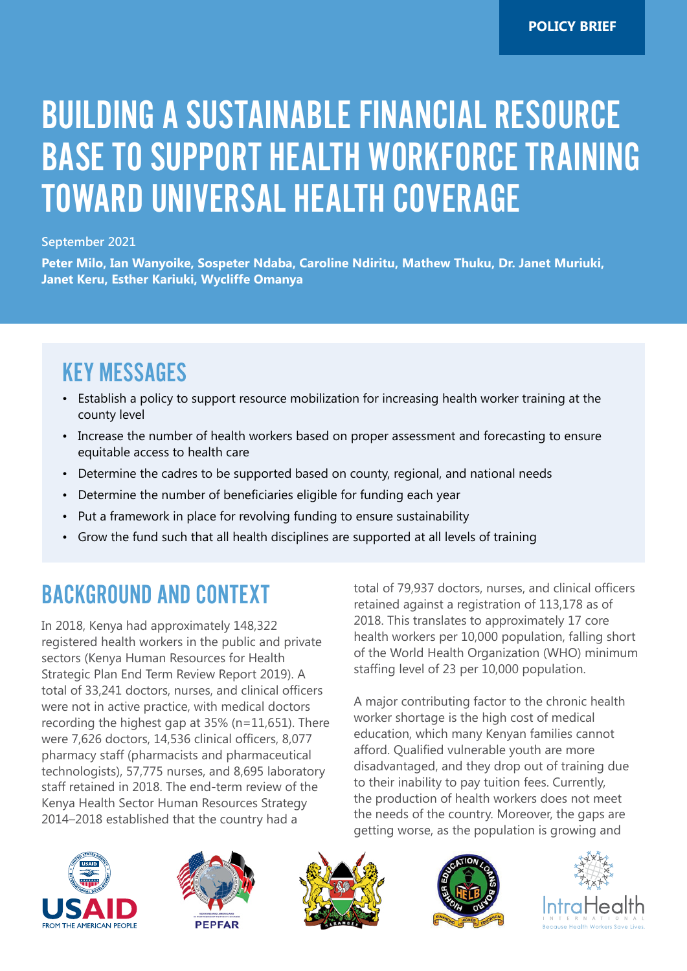# BUILDING A SUSTAINABLE FINANCIAL RESOURCE BASE TO SUPPORT HEALTH WORKFORCE TRAINING TOWARD UNIVERSAL HEALTH COVERAGE

#### **September 2021**

**Peter Milo, Ian Wanyoike, Sospeter Ndaba, Caroline Ndiritu, Mathew Thuku, Dr. Janet Muriuki, Janet Keru, Esther Kariuki, Wycliffe Omanya**

#### KEY MESSAGES

- Establish a policy to support resource mobilization for increasing health worker training at the county level
- Increase the number of health workers based on proper assessment and forecasting to ensure equitable access to health care
- Determine the cadres to be supported based on county, regional, and national needs
- Determine the number of beneficiaries eligible for funding each year
- Put a framework in place for revolving funding to ensure sustainability
- Grow the fund such that all health disciplines are supported at all levels of training

## BACKGROUND AND CONTEXT

In 2018, Kenya had approximately 148,322 registered health workers in the public and private sectors (Kenya Human Resources for Health Strategic Plan End Term Review Report 2019). A total of 33,241 doctors, nurses, and clinical officers were not in active practice, with medical doctors recording the highest gap at 35% (n=11,651). There were 7,626 doctors, 14,536 clinical officers, 8,077 pharmacy staff (pharmacists and pharmaceutical technologists), 57,775 nurses, and 8,695 laboratory staff retained in 2018. The end-term review of the Kenya Health Sector Human Resources Strategy 2014–2018 established that the country had a

total of 79,937 doctors, nurses, and clinical officers retained against a registration of 113,178 as of 2018. This translates to approximately 17 core health workers per 10,000 population, falling short of the World Health Organization (WHO) minimum staffing level of 23 per 10,000 population.

A major contributing factor to the chronic health worker shortage is the high cost of medical education, which many Kenyan families cannot afford. Qualified vulnerable youth are more disadvantaged, and they drop out of training due to their inability to pay tuition fees. Currently, the production of health workers does not meet the needs of the country. Moreover, the gaps are getting worse, as the population is growing and









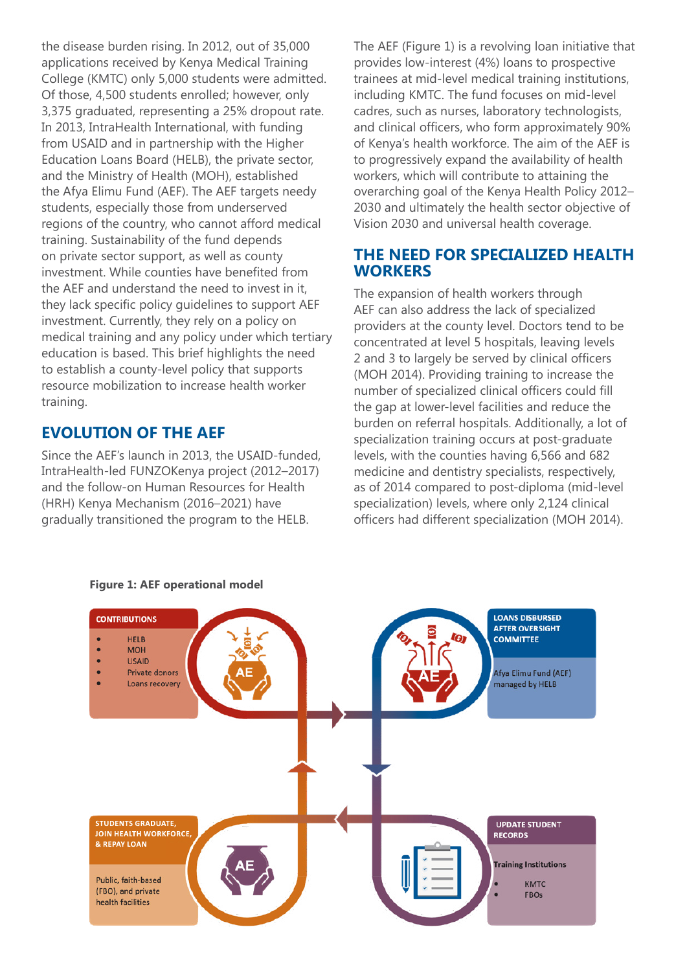the disease burden rising. In 2012, out of 35,000 applications received by Kenya Medical Training College (KMTC) only 5,000 students were admitted. Of those, 4,500 students enrolled; however, only 3,375 graduated, representing a 25% dropout rate. In 2013, IntraHealth International, with funding from USAID and in partnership with the Higher Education Loans Board (HELB), the private sector, and the Ministry of Health (MOH), established the Afya Elimu Fund (AEF). The AEF targets needy students, especially those from underserved regions of the country, who cannot afford medical training. Sustainability of the fund depends on private sector support, as well as county investment. While counties have benefited from the AEF and understand the need to invest in it, they lack specific policy guidelines to support AEF investment. Currently, they rely on a policy on medical training and any policy under which tertiary education is based. This brief highlights the need to establish a county-level policy that supports resource mobilization to increase health worker training.

#### **EVOLUTION OF THE AEF**

Since the AEF's launch in 2013, the USAID-funded, IntraHealth-led FUNZOKenya project (2012–2017) and the follow-on Human Resources for Health (HRH) Kenya Mechanism (2016–2021) have gradually transitioned the program to the HELB.

The AEF (Figure 1) is a revolving loan initiative that provides low-interest (4%) loans to prospective trainees at mid-level medical training institutions, including KMTC. The fund focuses on mid-level cadres, such as nurses, laboratory technologists, and clinical officers, who form approximately 90% of Kenya's health workforce. The aim of the AEF is to progressively expand the availability of health workers, which will contribute to attaining the overarching goal of the Kenya Health Policy 2012– 2030 and ultimately the health sector objective of Vision 2030 and universal health coverage.

#### **THE NEED FOR SPECIALIZED HEALTH WORKERS**

The expansion of health workers through AEF can also address the lack of specialized providers at the county level. Doctors tend to be concentrated at level 5 hospitals, leaving levels 2 and 3 to largely be served by clinical officers (MOH 2014). Providing training to increase the number of specialized clinical officers could fill the gap at lower-level facilities and reduce the burden on referral hospitals. Additionally, a lot of specialization training occurs at post-graduate levels, with the counties having 6,566 and 682 medicine and dentistry specialists, respectively, as of 2014 compared to post-diploma (mid-level specialization) levels, where only 2,124 clinical officers had different specialization (MOH 2014).



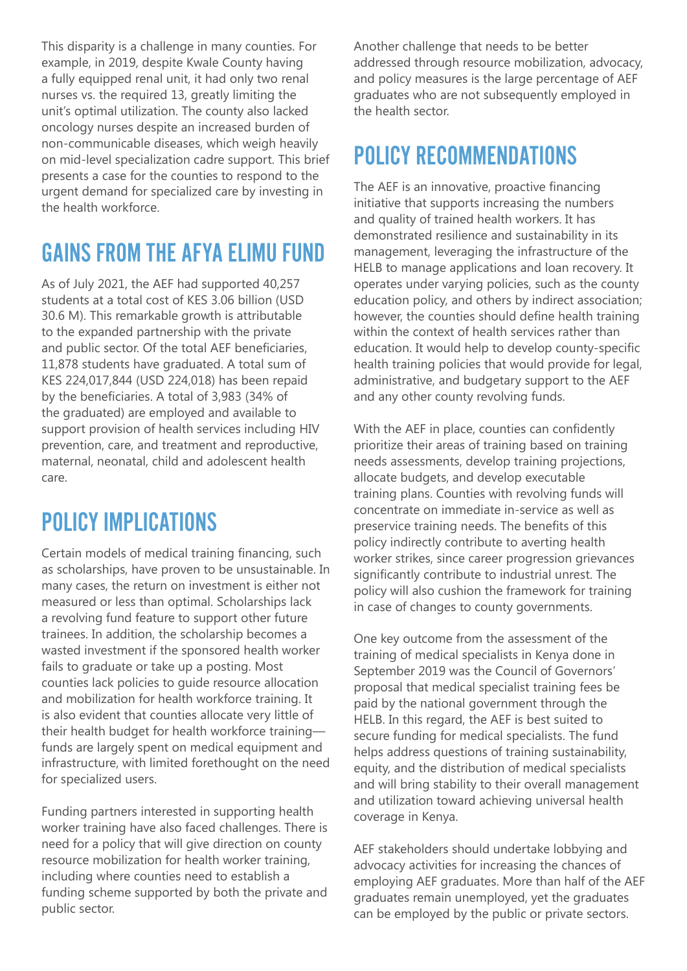This disparity is a challenge in many counties. For example, in 2019, despite Kwale County having a fully equipped renal unit, it had only two renal nurses vs. the required 13, greatly limiting the unit's optimal utilization. The county also lacked oncology nurses despite an increased burden of non-communicable diseases, which weigh heavily on mid-level specialization cadre support. This brief presents a case for the counties to respond to the urgent demand for specialized care by investing in the health workforce.

### GAINS FROM THE AFYA ELIMU FUND

As of July 2021, the AEF had supported 40,257 students at a total cost of KES 3.06 billion (USD 30.6 M). This remarkable growth is attributable to the expanded partnership with the private and public sector. Of the total AEF beneficiaries, 11,878 students have graduated. A total sum of KES 224,017,844 (USD 224,018) has been repaid by the beneficiaries. A total of 3,983 (34% of the graduated) are employed and available to support provision of health services including HIV prevention, care, and treatment and reproductive, maternal, neonatal, child and adolescent health care.

### POLICY IMPLICATIONS

Certain models of medical training financing, such as scholarships, have proven to be unsustainable. In many cases, the return on investment is either not measured or less than optimal. Scholarships lack a revolving fund feature to support other future trainees. In addition, the scholarship becomes a wasted investment if the sponsored health worker fails to graduate or take up a posting. Most counties lack policies to guide resource allocation and mobilization for health workforce training. It is also evident that counties allocate very little of their health budget for health workforce training funds are largely spent on medical equipment and infrastructure, with limited forethought on the need for specialized users.

Funding partners interested in supporting health worker training have also faced challenges. There is need for a policy that will give direction on county resource mobilization for health worker training, including where counties need to establish a funding scheme supported by both the private and public sector.

Another challenge that needs to be better addressed through resource mobilization, advocacy, and policy measures is the large percentage of AEF graduates who are not subsequently employed in the health sector.

#### POLICY RECOMMENDATIONS

The AEF is an innovative, proactive financing initiative that supports increasing the numbers and quality of trained health workers. It has demonstrated resilience and sustainability in its management, leveraging the infrastructure of the HELB to manage applications and loan recovery. It operates under varying policies, such as the county education policy, and others by indirect association; however, the counties should define health training within the context of health services rather than education. It would help to develop county-specific health training policies that would provide for legal, administrative, and budgetary support to the AEF and any other county revolving funds.

With the AEF in place, counties can confidently prioritize their areas of training based on training needs assessments, develop training projections, allocate budgets, and develop executable training plans. Counties with revolving funds will concentrate on immediate in-service as well as preservice training needs. The benefits of this policy indirectly contribute to averting health worker strikes, since career progression grievances significantly contribute to industrial unrest. The policy will also cushion the framework for training in case of changes to county governments.

One key outcome from the assessment of the training of medical specialists in Kenya done in September 2019 was the Council of Governors' proposal that medical specialist training fees be paid by the national government through the HELB. In this regard, the AEF is best suited to secure funding for medical specialists. The fund helps address questions of training sustainability, equity, and the distribution of medical specialists and will bring stability to their overall management and utilization toward achieving universal health coverage in Kenya.

AEF stakeholders should undertake lobbying and advocacy activities for increasing the chances of employing AEF graduates. More than half of the AEF graduates remain unemployed, yet the graduates can be employed by the public or private sectors.